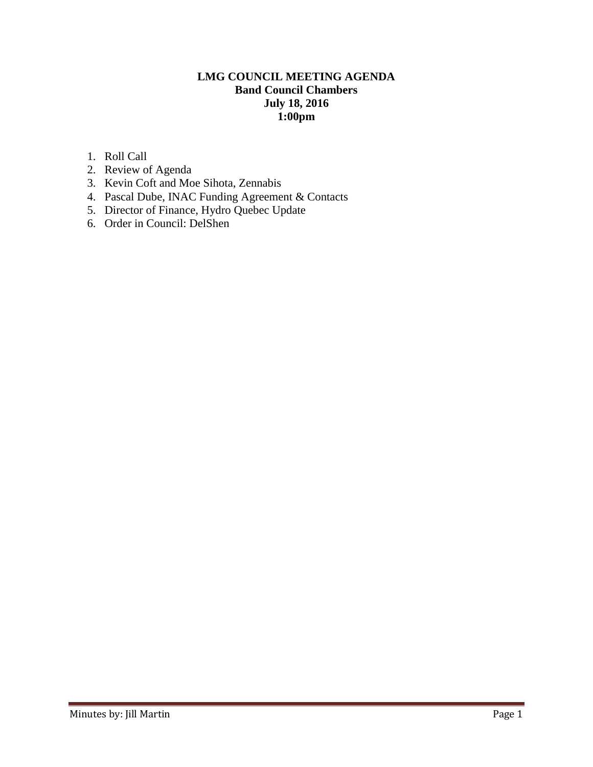# **LMG COUNCIL MEETING AGENDA Band Council Chambers July 18, 2016 1:00pm**

- 1. Roll Call
- 2. Review of Agenda
- 3. Kevin Coft and Moe Sihota, Zennabis
- 4. Pascal Dube, INAC Funding Agreement & Contacts
- 5. Director of Finance, Hydro Quebec Update
- 6. Order in Council: DelShen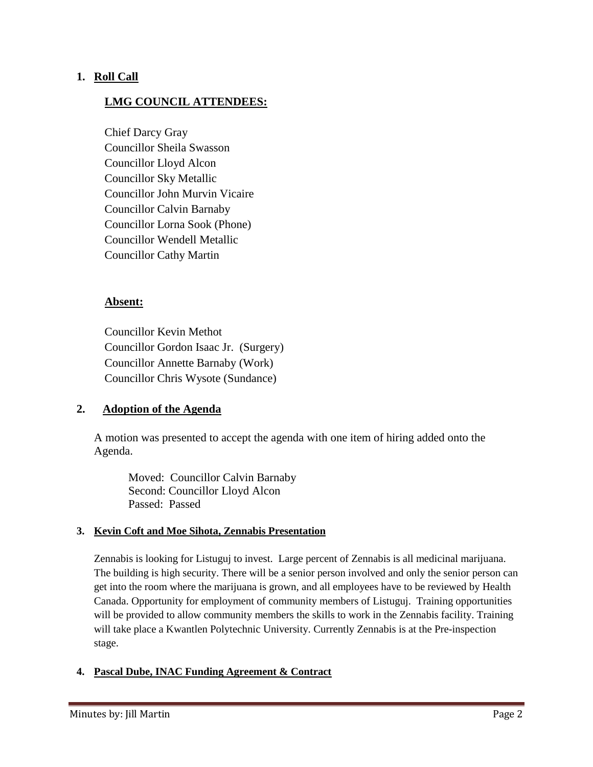### **1. Roll Call**

### **LMG COUNCIL ATTENDEES:**

Chief Darcy Gray Councillor Sheila Swasson Councillor Lloyd Alcon Councillor Sky Metallic Councillor John Murvin Vicaire Councillor Calvin Barnaby Councillor Lorna Sook (Phone) Councillor Wendell Metallic Councillor Cathy Martin

### **Absent:**

Councillor Kevin Methot Councillor Gordon Isaac Jr. (Surgery) Councillor Annette Barnaby (Work) Councillor Chris Wysote (Sundance)

### **2. Adoption of the Agenda**

A motion was presented to accept the agenda with one item of hiring added onto the Agenda.

Moved: Councillor Calvin Barnaby Second: Councillor Lloyd Alcon Passed: Passed

#### **3. Kevin Coft and Moe Sihota, Zennabis Presentation**

Zennabis is looking for Listuguj to invest. Large percent of Zennabis is all medicinal marijuana. The building is high security. There will be a senior person involved and only the senior person can get into the room where the marijuana is grown, and all employees have to be reviewed by Health Canada. Opportunity for employment of community members of Listuguj. Training opportunities will be provided to allow community members the skills to work in the Zennabis facility. Training will take place a Kwantlen Polytechnic University. Currently Zennabis is at the Pre-inspection stage.

#### **4. Pascal Dube, INAC Funding Agreement & Contract**